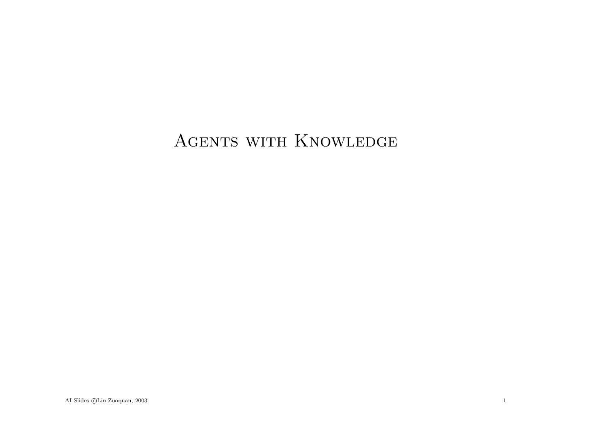# AGENTS WITH KNOWLEDGE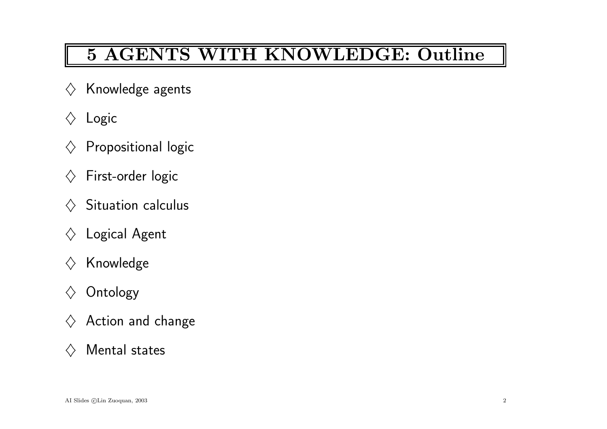# 5 AGENTS WITH KNOWLEDGE: Outline

- $\diamondsuit$  Knowledge agents
- $\Diamond$  Logic
- $\diamondsuit$  Propositional logic
- $\diamondsuit$  First-order logic
- $\diamondsuit$  Situation calculus
- $\Diamond$  Logical Agent
- $\diamondsuit$  Knowledge
- $\diamondsuit$  Ontology
- $\diamondsuit$  Action and change
- $\Diamond$  Mental states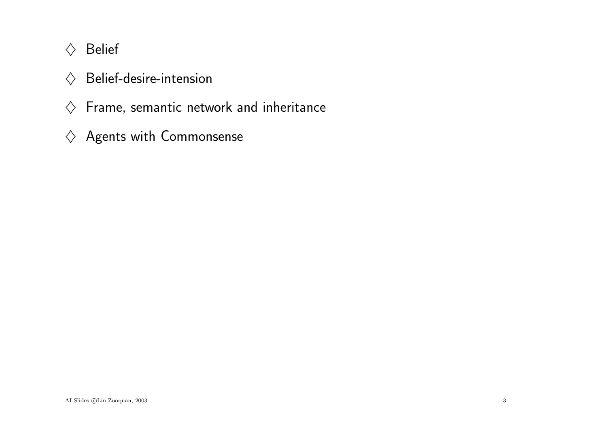# $\Diamond$  Belief

- $\diamondsuit$  Belief-desire-intension
- $\diamondsuit$  Frame, semantic network and inheritance
- $\diamondsuit$  Agents with Commonsense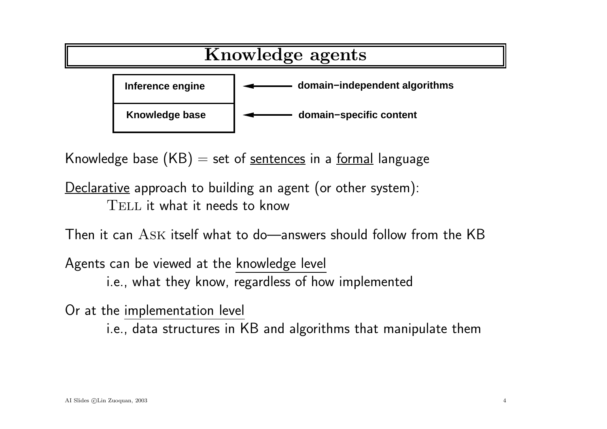

Knowledge base  $(KB)$  = set of sentences in a formal language

Declarative approach to building an agent (or other system): TELL it what it needs to know

Then it can Ask itself what to do—answers should follow from the KB

Agents can be viewed at the knowledge level i.e., what they know, regardless of how implemented

Or at the implementation level

i.e., data structures in KB and algorithms that manipulate them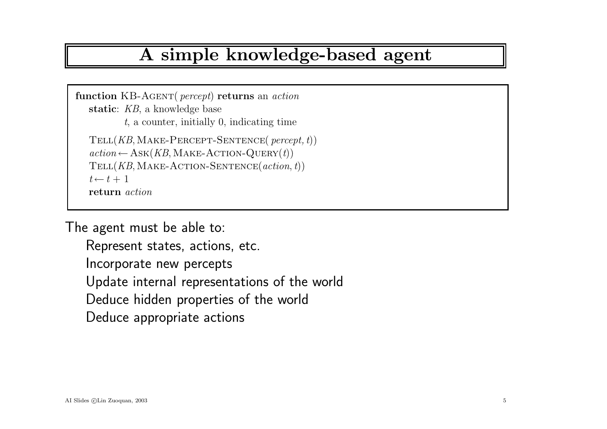### A simple knowledge-based agent

function KB-AGENT( percept) returns an action static: KB, a knowledge base t, <sup>a</sup> counter, initially 0, indicating time Tell(KB,Make-Percept-Sentence( percept, <sup>t</sup>))  $action \leftarrow \text{ASK}(KB, \text{MAKE-ACTION-Query}(t))$  $TELL(KB, MAKE-ACTION-SENTERCE(action, t))$  $t \leftarrow t + 1$ return action

The agen<sup>t</sup> must be able to:

Represent states, actions, etc. Incorporate new percepts Update internal representations of the world Deduce hidden properties of the world Deduce appropriate actions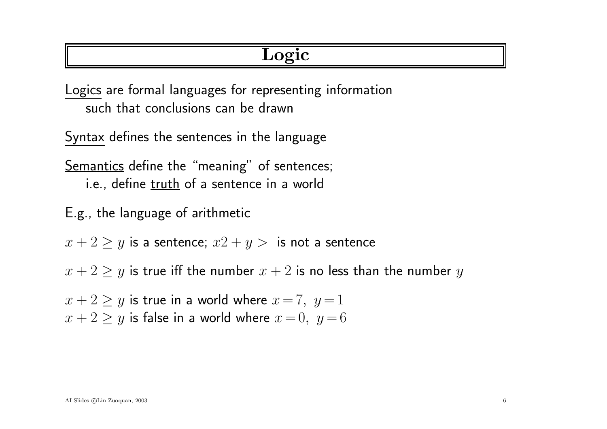# Logic

Logics are formal languages for representing information such that conclusions can be drawn

Syntax defines the sentences in the language

Semantics define the "meaning" of sentences; i.e., define truth of a sentence in a world

E.g., the language of arithmetic

 $x + 2 \ge y$  is a sentence;  $x^2 + y > 0$  is not a sentence

 $x + 2 \geq y$  is true iff the number  $x + 2$  is no less than the number y

 $x + 2 \geq y$  is true in a world where  $x = 7$ ,  $y = 1$  $x + 2 \ge y$  is false in a world where  $x = 0$ ,  $y = 6$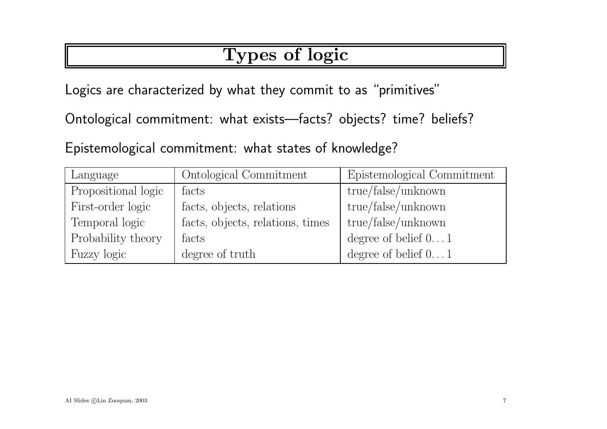# Types of logic

Logics are characterized by what they commit to as "primitives"

Ontological commitment: what exists—facts? objects? time? beliefs?

Epistemological commitment: what states of knowledge?

| Language            | Ontological Commitment           | Epistemological Commitment   |
|---------------------|----------------------------------|------------------------------|
| Propositional logic | facts                            | true/false/unknown           |
| First-order logic   | facts, objects, relations        | true/false/unknown           |
| Temporal logic      | facts, objects, relations, times | true/false/unknown           |
| Probability theory  | facts                            | degree of belief $01$        |
| Fuzzy logic         | degree of truth                  | degree of belief $0\ldots 1$ |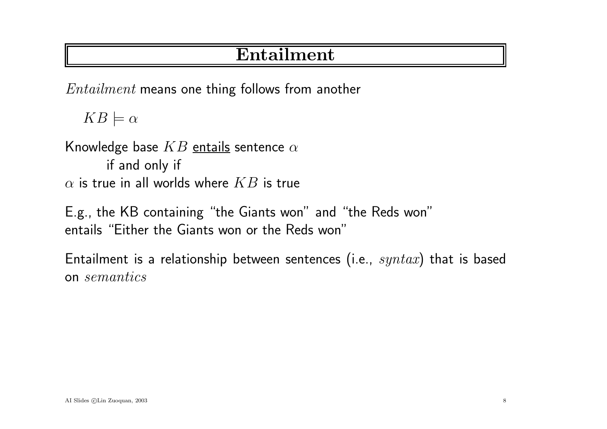# Entailment

Entailment means one thing follows from another

 $KB \models \alpha$ 

Knowledge base  $KB$  entails sentence  $\alpha$ if and only if  $\alpha$  is true in all worlds where  $KB$  is true

E.g., the KB containing "the Giants won" and "the Reds won" entails "Either the Giants won or the Reds won"

Entailment is a relationship between sentences (i.e.,  $syntax$ ) that is based on semantics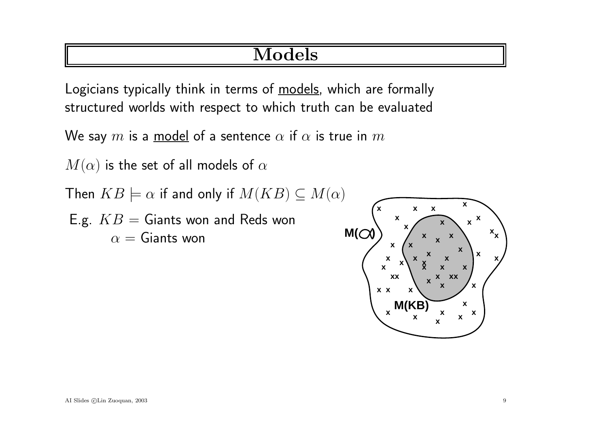# Models

Logicians typically think in terms of models, which are formally structured worlds with respect to which truth can be evaluated

We say  $m$  is a model of a sentence  $\alpha$  if  $\alpha$  is true in  $m$ 

 $M(\alpha)$  is the set of all models of  $\alpha$ 

Then  $KB \models \alpha$  if and only if  $M(KB) \subseteq M(\alpha)$ 

E.g.  $KB =$  Giants won and Reds won  $\alpha =$  Giants won **M(** $\alpha$ )

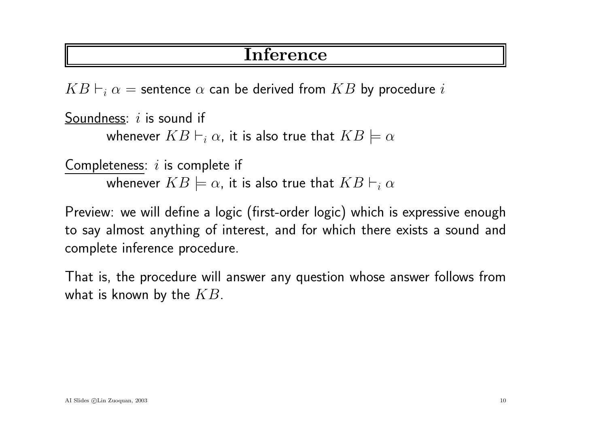### Inference

 $KB \vdash_i \alpha$  = sentence  $\alpha$  can be derived from  $KB$  by procedure i

```
Soundness: i is sound if
whenever KB \vdash_i \alpha, it is also true that KB \models \alpha
```

```
Completeness: i is complete if
whenever KB \models \alpha, it is also true that KB \vdash_i \alpha
```
Preview: we will define <sup>a</sup> logic (first-order logic) which is expressive enoug<sup>h</sup> to say almost anything of interest, and for which there exists <sup>a</sup> sound and complete inference procedure.

That is, the procedure will answer any question whose answer follows from what is known by the  $KB$ .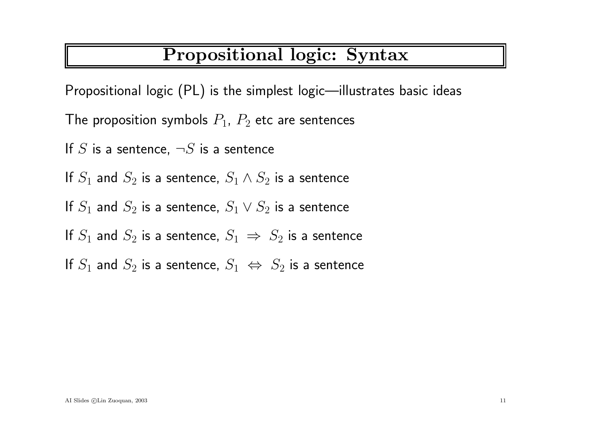# Propositional logic: Syntax

Propositional logic (PL) is the simplest logic—illustrates basic ideas

The proposition symbols  $P_1,\ P_2$  etc are sentences

If  $S$  is a sentence,  $\neg S$  is a sentence

If  $S_1$  and  $S_2$  is a sentence,  $S_1 \wedge S_2$  is a sentence

If  $S_1$  and  $S_2$  is a sentence,  $S_1 \vee S_2$  is a sentence

If  $S_1$  and  $S_2$  is a sentence,  $S_1 \implies S_2$  is a sentence

If  $S_1$  and  $S_2$  is a sentence,  $S_1 \iff S_2$  is a sentence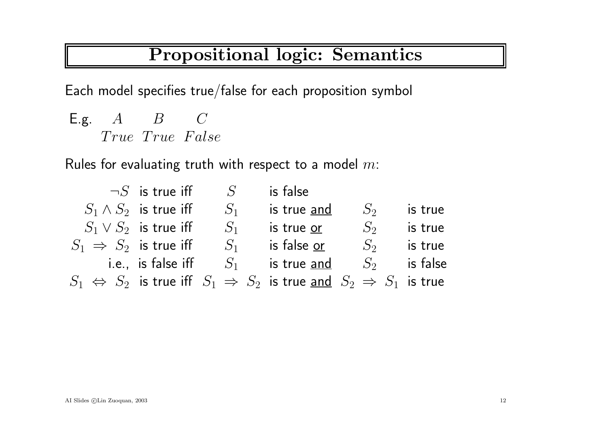# Propositional logic: Semantics

Each model specifies true/false for each proposition symbol

E.g.  $A$   $B$   $C$ True True False

Rules for evaluating truth with respect to a model  $m\mathrm{:}$ 

|                                   | $\neg S$ is true iff         | S     | is false                                                                                              |       |          |
|-----------------------------------|------------------------------|-------|-------------------------------------------------------------------------------------------------------|-------|----------|
|                                   | $S_1 \wedge S_2$ is true iff | $S_1$ | is true and                                                                                           | $S_2$ | is true  |
|                                   | $S_1 \vee S_2$ is true iff   | $S_1$ | is true or                                                                                            | $S_2$ | is true  |
| $S_1 \Rightarrow S_2$ is true iff |                              | $S_1$ | is false or                                                                                           | $S_2$ | is true  |
|                                   | i.e., is false iff $S_1$     |       | is true and $S_2$                                                                                     |       | is false |
|                                   |                              |       | $S_1 \Leftrightarrow S_2$ is true iff $S_1 \Rightarrow S_2$ is true and $S_2 \Rightarrow S_1$ is true |       |          |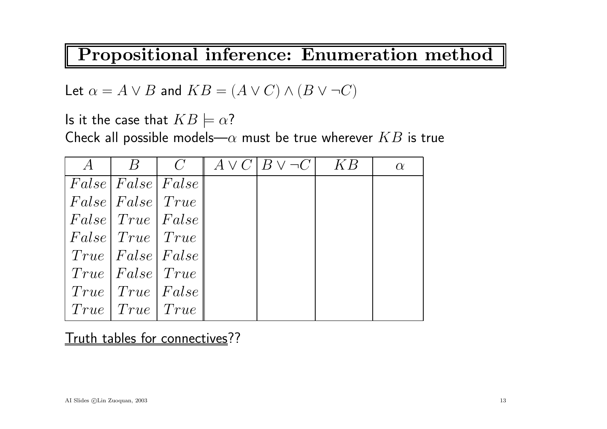Propositional inference: Enumeration method

Let  $\alpha = A \vee B$  and  $KB = (A \vee C) \wedge (B \vee \neg C)$ 

Is it the case that  $KB \models \alpha?$ 

Check all possible models— $\alpha$  must be true wherever  $KB$  is true

| $\mathcal{A}$ |                                   |                                    | $B \mid C \mid A \vee C   B \vee \neg C  $ | $-KB$ | $\alpha$ |
|---------------|-----------------------------------|------------------------------------|--------------------------------------------|-------|----------|
|               | False  False  False               |                                    |                                            |       |          |
|               | False   False   True              |                                    |                                            |       |          |
|               |                                   | False   True   False               |                                            |       |          |
|               | False   True   True               |                                    |                                            |       |          |
|               |                                   | $True \;   \; False \;   \; False$ |                                            |       |          |
|               | $True \;   \; False \;   \; True$ |                                    |                                            |       |          |
|               | $True \mid True \mid False$       |                                    |                                            |       |          |
|               | $True \mid True \mid True$        |                                    |                                            |       |          |

Truth tables for connectives??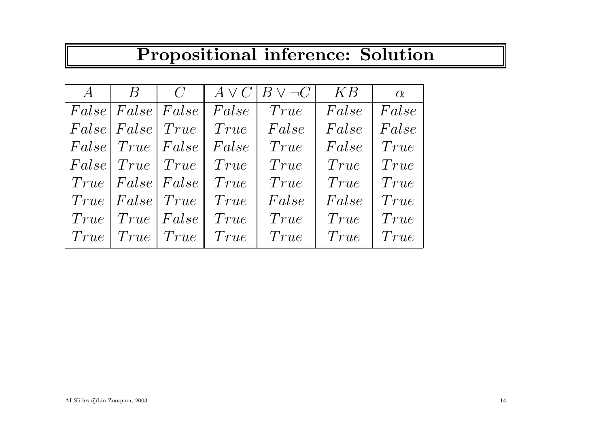# Propositional inference: Solution

| $\mathcal{A}$ | $\overline{B}$                     | $\overline{C}$ |                   | $A \vee C$ $B \vee \neg C$ | KB    | $\alpha$ |
|---------------|------------------------------------|----------------|-------------------|----------------------------|-------|----------|
|               | False False False                  |                | $\parallel False$ | True                       | False | False    |
|               | False   False   True               |                | True              | False                      | False | False    |
|               | False   True   False               |                | False             | True                       | False | True     |
|               | False   True   True                |                | True              | True                       | True  | True     |
|               | $True \,   \, False \,   \, False$ |                | True              | True                       | True  | True     |
|               | True   False   True                |                | True              | False                      | False | True     |
|               | $True \mid True \mid False$        |                | True              | True                       | True  | True     |
|               | $True \mid True \mid True$         |                | True              | True                       | True  | True     |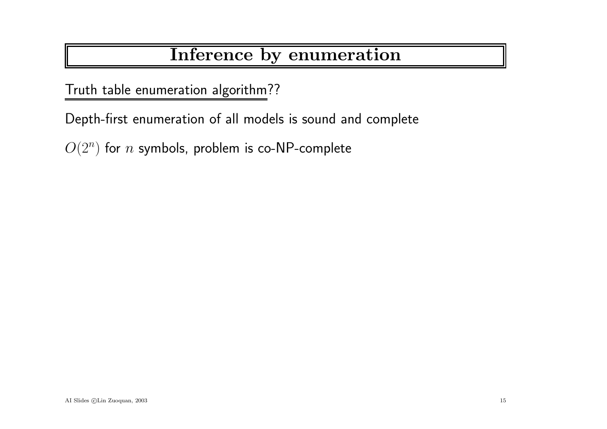# Inference by enumeration

Truth table enumeration algorithm??

Depth-first enumeration of all models is sound and complete

 $O(2^n)$  for  $n$  symbols, problem is co-NP-complete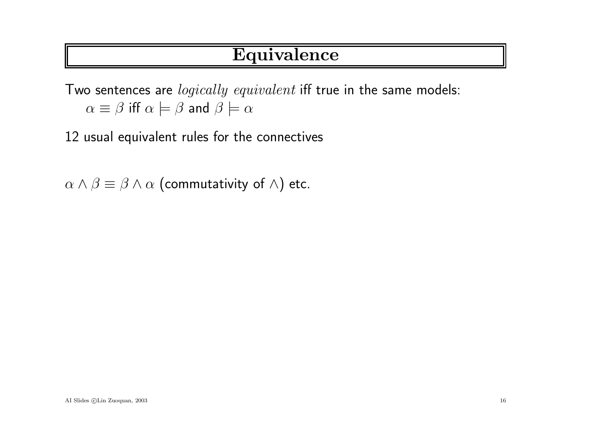# Equivalence

Two sentences are *logically equivalent* iff true in the same models:  $\alpha \equiv \beta$  iff  $\alpha \models \beta$  and  $\beta \models \alpha$ 

12 usual equivalent rules for the connectives

 $\alpha \wedge \beta \equiv \beta \wedge \alpha$  (commutativity of  $\wedge$ ) etc.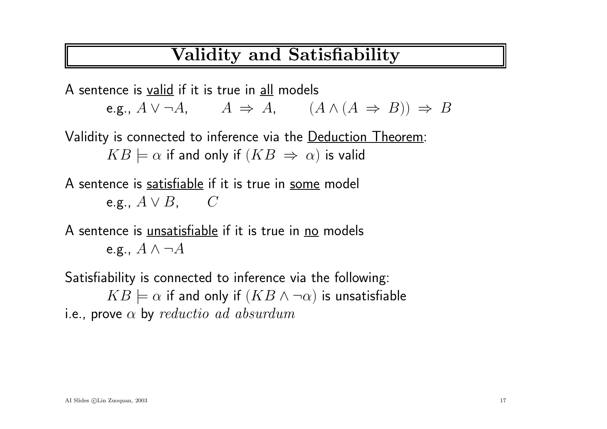### Validity and Satisfiability

A sentence is valid if it is true in all models e.g.,  $A \lor \neg A$ ,  $A \Rightarrow A$ ,  $(A \land (A \Rightarrow B)) \Rightarrow B$ Validity is connected to inference via the <u>Deduction Theorem</u>:  $KB \models \alpha$  if and only if  $(KB \Rightarrow \alpha)$  is valid

A sentence is satisfiable if it is true in some model e.g.,  $A\vee B, \quad \quad C$ 

A sentence is *unsatisfiable* if it is true in no models e.g.,  $A \wedge \neg A$ 

Satisfiability is connected to inference via the following:  $KB \models \alpha$  if and only if  $(KB \land \neg \alpha)$  is unsatisfiable i.e., prove  $\alpha$  by  $reductio$   $ad$   $absurdum$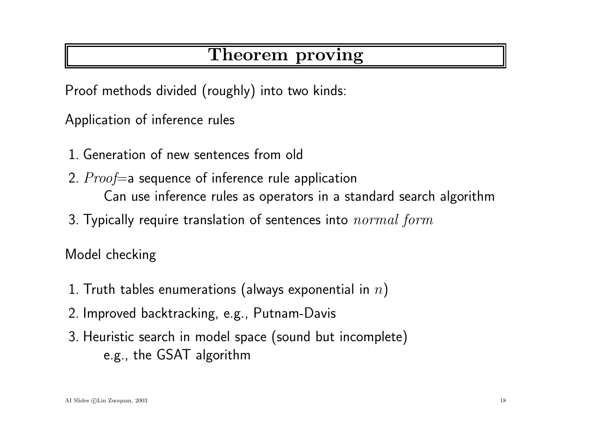# Theorem proving

Proof methods divided (roughly) into two kinds:

Application of inference rules

- 1. Generation of new sentences from old
- 2.  $Proof = a$  sequence of inference rule application Can use inference rules as operators in <sup>a</sup> standard search algorithm
- 3. Typically require translation of sentences into  $normal\ form$

Model checking

- 1. Truth tables enumerations (always exponential in  $n$ )
- 2. Improved backtracking, e.g., Putnam-Davis
- 3. Heuristic search in model space (sound but incomplete) e.g., the GSAT algorithm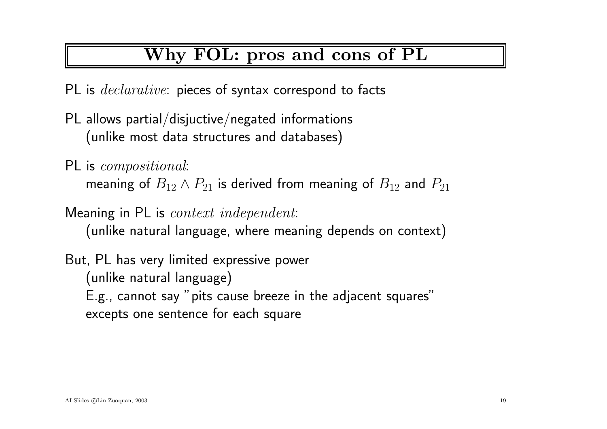# Why FOL: pros and cons of PL

PL is *declarative*: pieces of syntax correspond to facts

- PL allows partial/disjuctive/negated informations (unlike most data structures and databases)
- PL is *compositional*: meaning of  $B_{12} \wedge P_{21}$  is derived from meaning of  $B_{12}$  and  $P_{21}$

Meaning in PL is *context independent*: (unlike natural language, where meaning depends on context )

But, PL has very limited expressive power (unlike natural language) E.g., cannot say "pits cause breeze in the adjacent squares" excepts one sentence for each square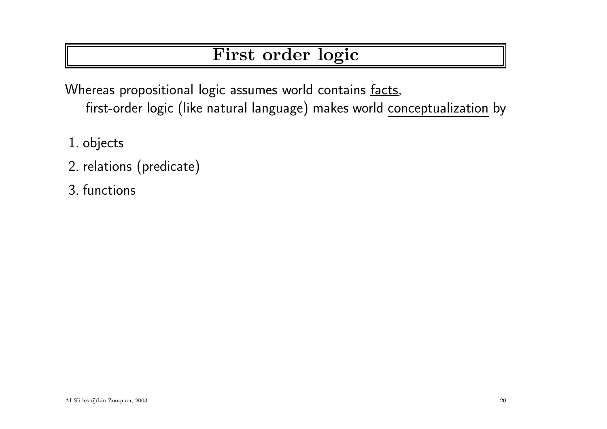# First order logic

Whereas propositional logic assumes world contains facts, first-order logic (like natural language) makes world conceptualization by

- 1. objects
- 2. relations (predicate)
- 3. functions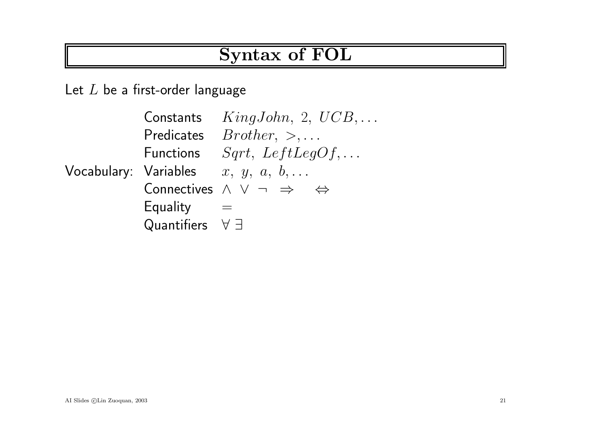### Syntax of FOL

Let  $L$  be a first-order language

Vocabulary: Variables  $x,\;y,\;a,\;b,\ldots$ Constants KingJohn, 2, UCB,... Predicates  $Brother, >, \ldots$ Functions  $Sqrt, LeftLegOf, ...$ Connectives <sup>∧</sup> <sup>∨</sup> <sup>¬</sup> <sup>⇒</sup> <sup>⇔</sup> Equality  $=$ Quantifiers  $∀ ∃$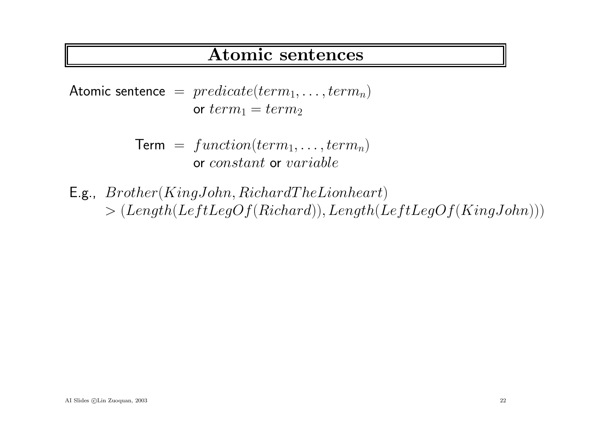#### Atomic sentences

Atomic sentence =  $predicate(term_1, \ldots,term_n)$ or  $term_1 = term_2$ 

> $Term = function(term_1, \ldots,term_n)$ or constant or variable

E.g.,  $Brother(KingJohn, RichardThe Lionheart)$  $> (Length(LeftLegOf(Richard)),Length(LeftLegOf(KingJohn)))$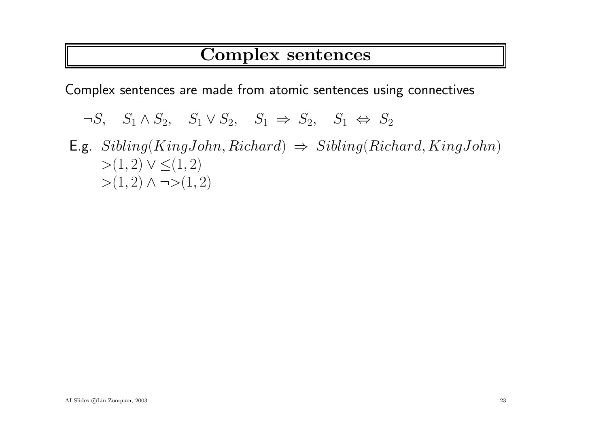### Complex sentences

Complex sentences are made from atomic sentences using connectives

 $\neg S$ ,  $S_1 \wedge S_2$ ,  $S_1 \vee S_2$ ,  $S_1 \Rightarrow S_2$ ,  $S_1 \Leftrightarrow S_2$ 

E.g.  $Sibling(KingJohn, Richard) \Rightarrow Sibling(Richard, KingJohn)$  $>(1, 2) \vee \leq (1, 2)$  $>(1,2) \wedge \neg>(1,2)$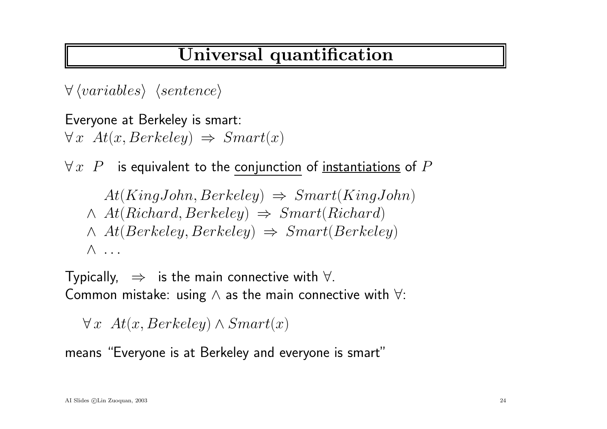# Universal quantification

 $\forall$   $\langle variance \rangle$   $\langle sentence \rangle$ 

Everyone at Berkeley is smart:  $\forall x \; At(x, Berkeley) \Rightarrow Smart(x)$ 

 $\forall\,x\,\,\,P$   $\,$  is equivalent to the conjunction of <u>instantiations</u> of  $P$ 

$$
At (KingJohn, Berkeley) \Rightarrow Smart(KingJohn)
$$
  

$$
\land At(Richard, Berkeley) \Rightarrow Smart(Richard)
$$
  

$$
\land At(Berkeley, Berkeley) \Rightarrow Smart(Berkeley)
$$
  

$$
\land \dots
$$

Typically,  $\Rightarrow$  is the main connective with  $\forall$ . Common mistake: using  $\wedge$  as the main connective with  $\forall$ :

 $\forall x \; At(x, Berkeley) \wedge Smart(x)$ 

means "Everyone is at Berkeley and everyone is smart"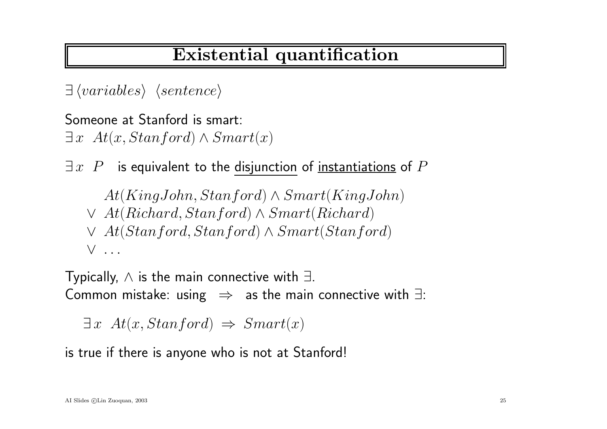# Existential quantification

 $\exists \langle variables \rangle \langle sentence \rangle$ 

Someone at Stanford is smart:  $\exists x \ At(x, Stanford) \wedge Smart(x)$ 

 $\exists\,x\;\;P$   $\;$  is equivalent to the disjunction of <u>instantiations</u> of  $P$ 

 $At(KingJohn, Stanford) \wedge Smart(KingJohn)$  $\vee$  At(Richard, Stanford) ∧ Smart(Richard)

<sup>∨</sup> At(Stanford,Stanford) <sup>∧</sup> Smart(Stanford) ∨ .. .

Typically,  $\wedge$  is the main connective with  $\exists.$ Common mistake: using  $\;\Rightarrow\;$  as the main connective with  $\exists$ :

 $\exists x \ At(x, Stanford) \Rightarrow Smart(x)$ 

is true if there is anyone who is not at Stanford!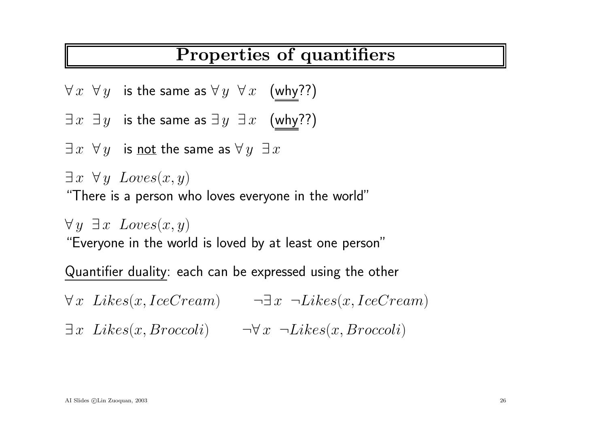### Properties of quantifiers

- $\forall\,x\;\;\forall\,y\;\;$  is the same as  $\forall\,y\;\;\forall\,x\;\;$  (why??)
- $\exists\,x\;\;\exists\,y\;\;$  is the same as  $\exists\,y\;\;\exists\,x\;\;\;$  (why??)
- $\exists\,x\;\;\forall\,y\;\;$  is <u>not</u> the same as  $\forall\,y\;\;\exists\,x$
- $\exists x \ \forall y \ Loves(x,y)$

"There is <sup>a</sup> person who loves everyone in the world"

 $\forall y \; \exists x \; Loves(x,y)$ 

"Everyone in the world is loved by at least one person"

Quantifier duality: each can be expressed using the other

 $\forall x \; \textit{Likes}(x, \textit{IceCream})$   $\neg \exists x \; \neg \textit{Likes}(x, \textit{IceCream})$  $\exists x \; \textit{Likes}(x, \textit{Broccoli}) \qquad \neg \forall x \; \neg \textit{Likes}(x, \textit{Broccoli})$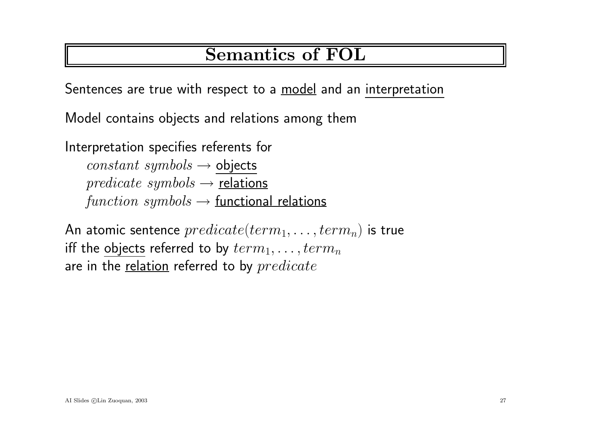# Semantics of FOL

Sentences are true with respect to a model and an interpretation

Model contains objects and relations among them

Interpretation specifies referents for  $constant \, symbols \rightarrow objects$  $predicate symbols \rightarrow relations$  $function \, symbols \rightarrow \text{functional relations}$ 

An atomic sentence  $predicate(term_1, \ldots, term_n)$  is true iff the objects referred to by  $term_1, \ldots,term_n$ are in the relation referred to by  $predicate$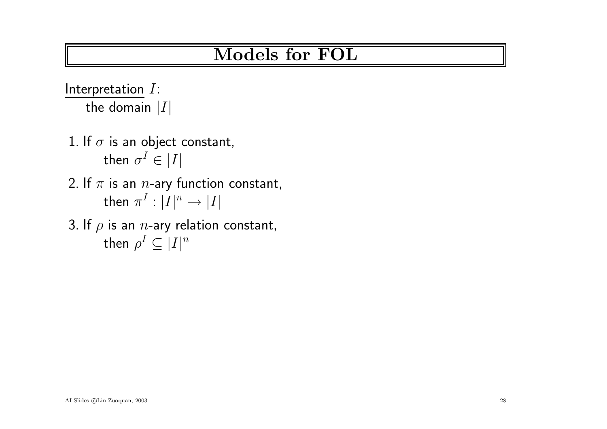Interpretation  $I$ : the domain  $|I|$ 

- 1. If  $\sigma$  is an object constant, then  $\sigma^I \in |I|$
- 2. If  $\pi$  is an  $n$ -ary function constant, then  $\pi^I : |I|^n \to |I|$
- 3. If  $\rho$  is an  $n$ -ary relation constant, then  $\rho^I \subseteq |I|^n$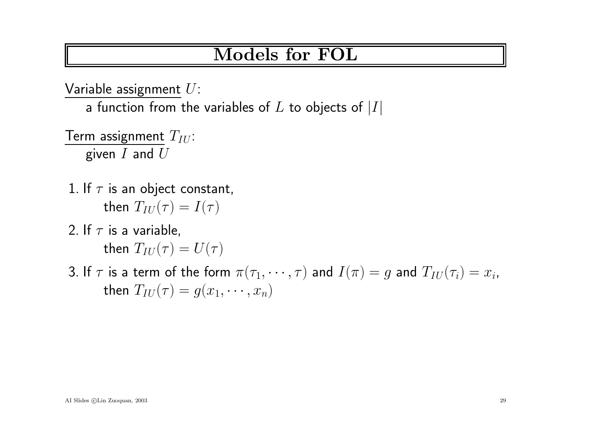Variable assignment  $U$ :

a function from the variables of  $L$  to objects of  $|I|$ 

Term assignment  $T_{IU}$ : given  $I$  and  $U$ 

- 1. If  $\tau$  is an object constant, then  $T_{IU}(\tau) = I(\tau)$
- 2. If  $\tau$  is a variable, then  $T_{IU}(\tau) = U(\tau)$
- 3. If  $\tau$  is a term of the form  $\pi(\tau_1, \dots, \tau)$  and  $I(\pi) = g$  and  $T_{IU}(\tau_i) = x_i$ , then  $T_{IU}(\tau) = g(x_1, \dots, x_n)$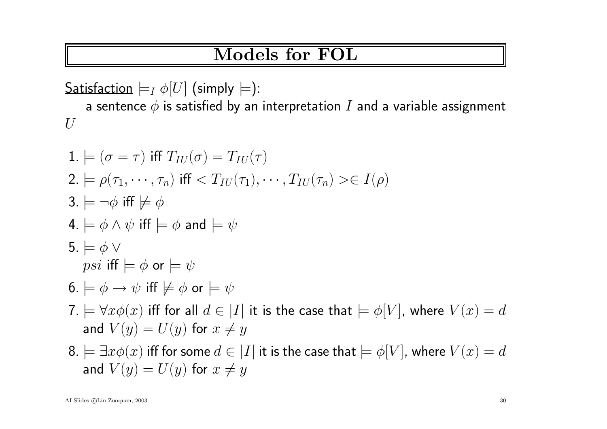Satisfaction  $\models_I \phi[U]$  (simply  $\models$ ):

a sentence  $\phi$  is satisfied by an interpretation  $I$  and a variable assignment  $U$ 

1. 
$$
\models (\sigma = \tau)
$$
 iff  $T_{IU}(\sigma) = T_{IU}(\tau)$   
\n2.  $\models \rho(\tau_1, \dots, \tau_n)$  iff  $\lt T_{IU}(\tau_1), \dots, T_{IU}(\tau_n) \gt\in I(\rho)$   
\n3.  $\models \neg \phi$  iff  $\not\models \phi$   
\n4.  $\models \phi \land \psi$  iff  $\models \phi$  and  $\models \psi$   
\n5.  $\models \phi \lor$   
\n*psi* iff  $\models \phi$  or  $\models \psi$   
\n6.  $\models \phi \rightarrow \psi$  iff  $\not\models \phi$  or  $\models \psi$   
\n7.  $\models \forall x \phi(x)$  iff for all  $d \in |I|$  it is the case that  $\models \phi[V]$ , where  $V(x) = d$   
\nand  $V(y) = U(y)$  for  $x \neq y$   
\n8.  $\models \exists x \phi(x)$  iff for some  $d \in |I|$  it is the case that  $\models \phi[V]$ , where  $V(x) = d$   
\nand  $V(y) = U(y)$  for  $x \neq y$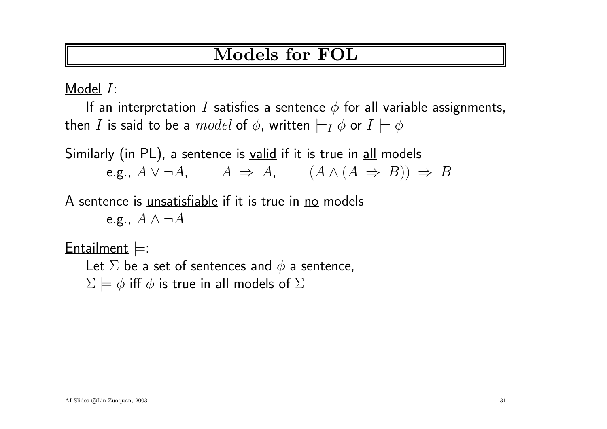Model I:

If an interpretation I satisfies a sentence  $\phi$  for all variable assignments, then I is said to be a  $model$  of  $\phi$ , written  $\models_I \phi$  or  $I \models \phi$ 

Similarly (in PL), a sentence is valid if it is true in all models e.g.,  $A \vee \neg A$ ,  $A \Rightarrow A$ ,  $(A \wedge (A \Rightarrow B)) \Rightarrow B$ 

A sentence is *unsatisfiable* if it is true in no models

e.g.,  $A \wedge \neg A$ 

 $Entailment \models$ :

Let  $\Sigma$  be a set of sentences and  $\phi$  a sentence,  $\Sigma \models \phi$  iff  $\phi$  is true in all models of  $\Sigma$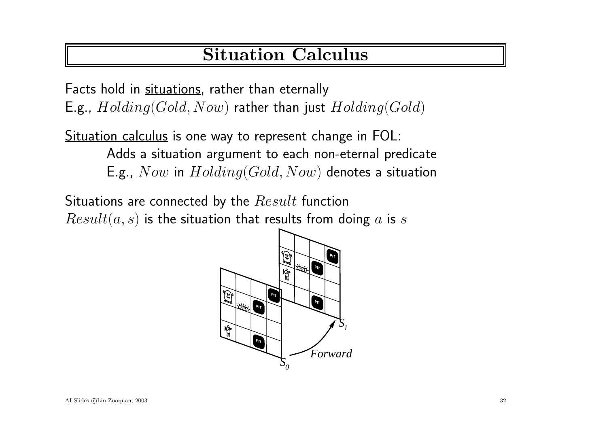# Situation Calculus

Facts hold in situations, rather than eternally E.g.,  $Holding(Gold,Now)$  rather than just  $Holding(Gold)$ 

Situation calculus is one way to represent change in FOL: Adds <sup>a</sup> situation argumen<sup>t</sup> to each non-eternal predicate E.g., Now in  $Holding(Gold,Now)$  denotes a situation

Situations are connected by the  $Result$  function  $Result(a, s)$  is the situation that results from doing a is s

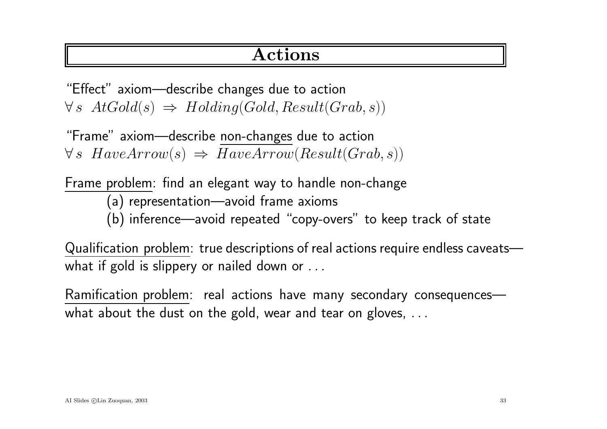### Actions

"Effect" axiom—describe changes due to action  $\forall s \; AtGold(s) \Rightarrow Holding(Gold,Result(Grab, s))$ 

"Frame" axiom—describe non-changes due to action  $\forall s \; HaveArrow(s) \Rightarrow HaveArrow(Result(Grab, s))$ 

Frame problem: find an elegant way to handle non-change (a) representation—avoid frame axioms (b) inference—avoid repeated "copy-overs" to keep track of state

Qualification problem: true descriptions of real actions require endless caveats what if gold is slippery or nailed down or ...

Ramification problem: real actions have many secondary consequences what about the dust on the gold, wear and tear on gloves, ...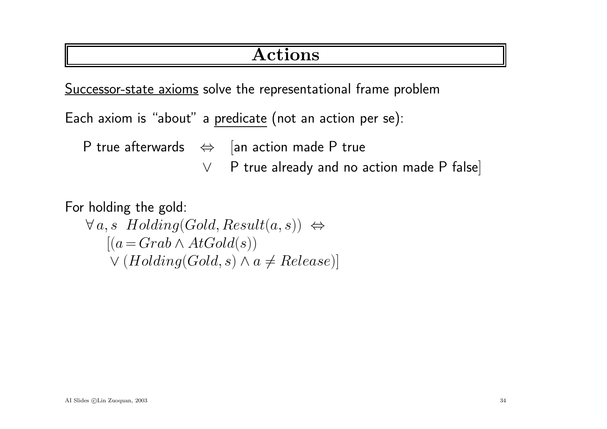### Actions

Successor-state axioms solve the representational frame problem

Each axiom is "about" <sup>a</sup> predicate (not an action per se):

P true afterwards  $\Leftrightarrow$  [an action made P true

<sup>∨</sup> <sup>P</sup> true already and no action made <sup>P</sup> false]

For holding the gold:

 $\forall a, s \; Holding(Gold,Result(a, s)) \Leftrightarrow$  $[(a = Grab \wedge AtGold(s))]$  $\vee$  (Holding(Gold, s)  $\wedge$  a  $\neq$  Release)]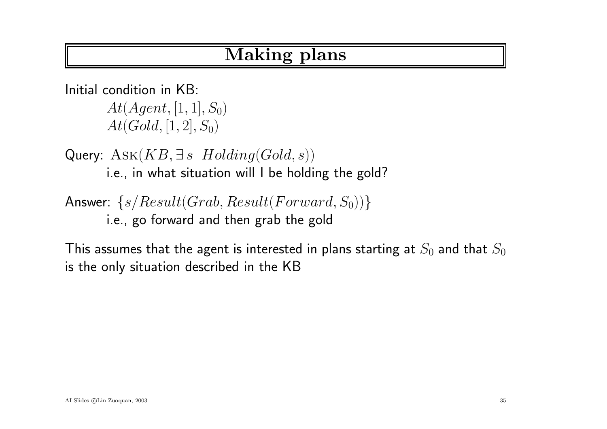# Making plans

Initial condition in KB:  $At(Agent, [1, 1], S_0)$  $At(Gold, [1, 2], S_0)$ 

Query:  $Ask(KB, \exists s \; Holding(Gold, s))$ i.e., in what situation will I be holding the gold?

Answer:  $\{s/Result(Grab, Result(Forward, S_0))\}$ i.e., go forward and then grab the gold

This assumes that the agent is interested in plans starting at  $S_0$  and that  $S_0$ is the only situation described in the KB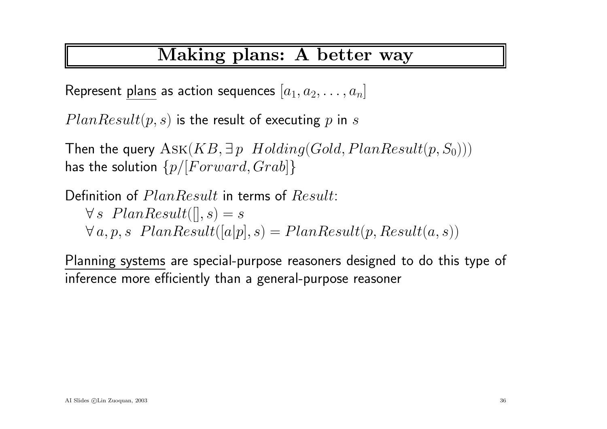### Making plans: A better way

Represent plans as action sequences  $[a_1, a_2, \ldots, a_n]$ 

 $PlanResult(p,s)$  is the result of executing  $p$  in  $s$ 

Then the query  $\operatorname{Ask}(KB, \exists\, p\; \;Holding(Gold, PlanResult(p,S_0)))$ has the solution  $\{p/[Forward, Grab]\}$ 

Definition of  $PlanResult$  in terms of  $Result$  $\forall s \; PlanResult([], s) = s$  $\forall a, p, s \; \; PlanResult([a|p], s) = PlanResult(p, Result(a, s))$ 

Planning systems are special-purpose reasoners designed to do this type of inference more efficiently than <sup>a</sup> general-purpose reasoner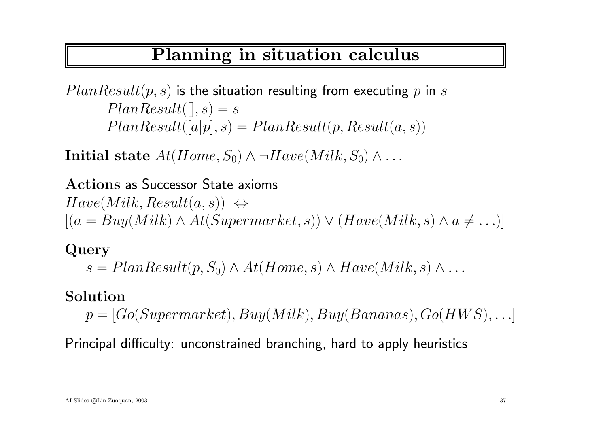### Planning in situation calculus

 $PlanResult(p,s)$  is the situation resulting from executing  $p$  in  $s$  $PlanResult([], s) = s$  $PlanResult([a|p],s) = PlanResult(p,Result(a,s))$ 

Initial state  $At(Home, S_0) \wedge \neg Have(Milk, S_0) \wedge ...$ 

Actions as Successor State axioms  $Have(Milk,Result(a, s)) \Leftrightarrow$  $[(a = Buy(Milk) \land At(Supermarket, s)) \lor (Have(Milk, s) \land a \neq \ldots)]$ 

Query

 $s = PlanResult(p, S_0) \wedge At(Home, s) \wedge Have(Milk, s) \wedge \dots$ 

#### Solution

 $p = [Go(Supermarket), Buy(Milk), Buy(Bananas), Go(HWS), \ldots]$ 

Principal difficulty: unconstrained branching, hard to apply heuristics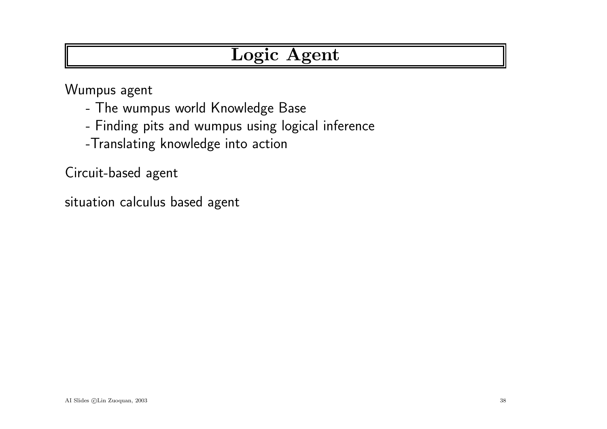# Logic Agent

Wumpus agen<sup>t</sup>

- -The wumpus world Knowledge Base
- -Finding <sup>p</sup>its and wumpus using logical inference
- -Translating knowledge into action

Circuit-based agen<sup>t</sup>

situation calculus based agen<sup>t</sup>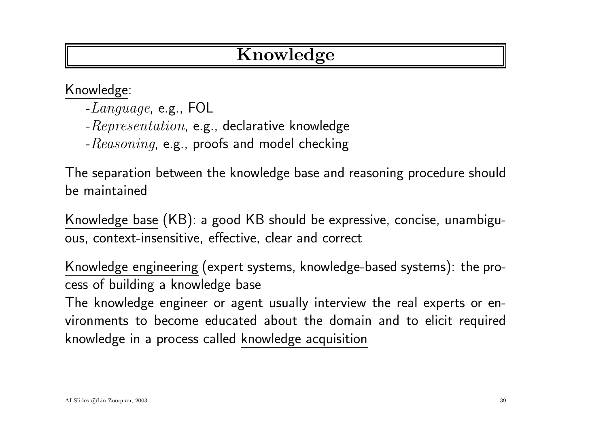# Knowledge

Knowledge:

- -Language, e.g., FOL
- $-Representation$ , e.g., declarative knowledge
- $-Reasoning$ , e.g., proofs and model checking

The separation between the knowledge base and reasoning procedure should be maintained

Knowledge base (KB): <sup>a</sup> good KB should be expressive, concise, unambiguous, context-insensitive, effective, clear and correct

Knowledge engineering (expert systems, knowledge-based systems): the process of building <sup>a</sup> knowledge base

The knowledge engineer or agen<sup>t</sup> usually interview the real experts or environments to become educated about the domain and to elicit required knowledge in <sup>a</sup> process called knowledge acquisition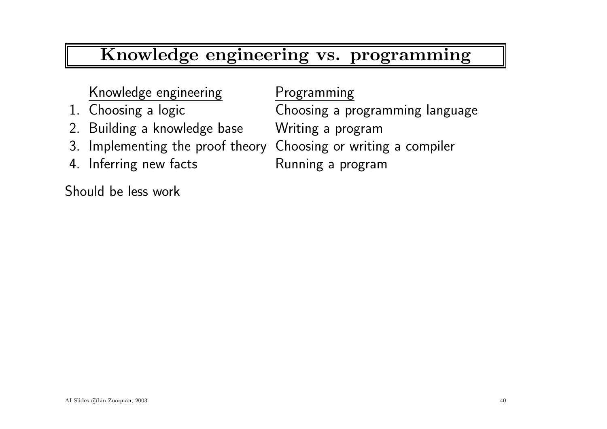# Knowledge engineering vs. programming

#### Knowledge engineering Programming

- 
- 2. Building <sup>a</sup> knowledge base Writing <sup>a</sup> program
- 3. Implementing the proof theory Choosing or writing <sup>a</sup> compiler
- 4. Inferring new facts **Running a program**

Should be less work

1. Choosing <sup>a</sup> logic Choosing <sup>a</sup> programming language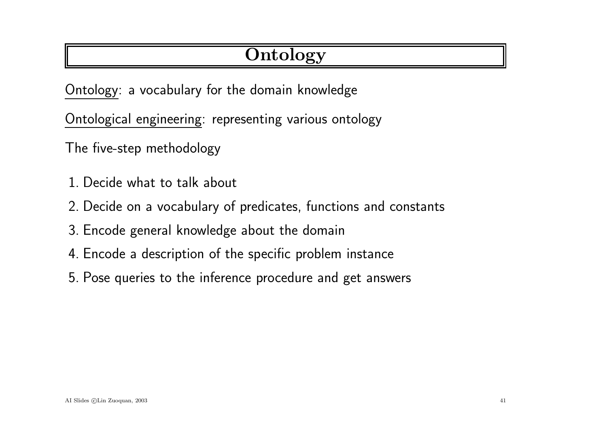# **Ontology**

Ontology: <sup>a</sup> vocabulary for the domain knowledge

Ontological engineering: representing various ontology

The five-step methodology

- 1. Decide what to talk about
- 2. Decide on <sup>a</sup> vocabulary of predicates, functions and constants
- 3. Encode general knowledge about the domain
- 4. Encode <sup>a</sup> description of the specific problem instance
- 5. Pose queries to the inference procedure and ge<sup>t</sup> answers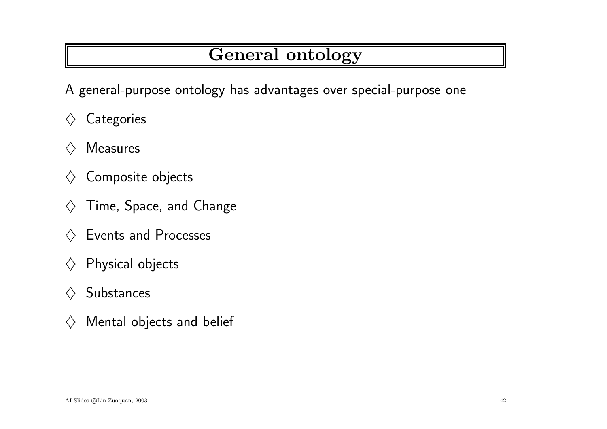# General ontology

A general-purpose ontology has advantages over special-purpose one

- $\diamondsuit$  Categories
- $\Diamond$  Measures
- $\diamondsuit$  Composite objects
- $\diamondsuit$  Time, Space, and Change
- $\diamondsuit$  Events and Processes
- $\diamondsuit$  Physical objects
- $\diamondsuit$  Substances
- $\diamondsuit$  Mental objects and belief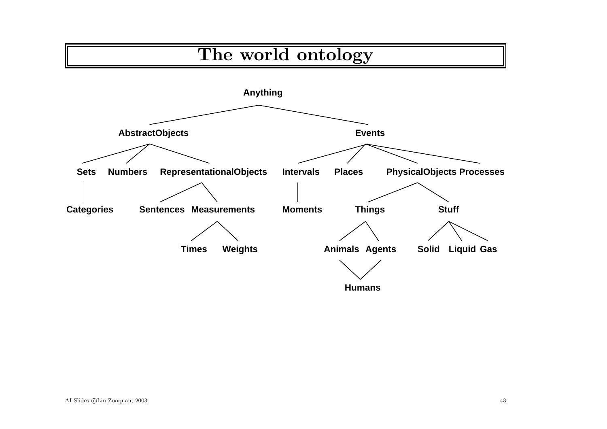# The world ontology

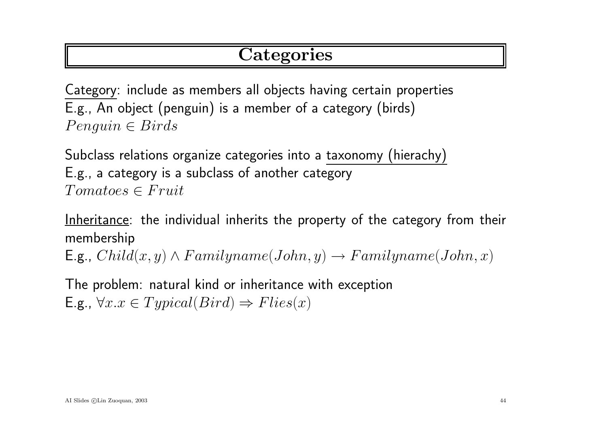# **Categories**

Category: include as members all objects having certain properties E.g., An object (penguin) is <sup>a</sup> member of <sup>a</sup> category (birds)  $Penguin \in Birds$ 

Subclass relations organize categories into <sup>a</sup> taxonomy (hierachy) E.g., <sup>a</sup> category is <sup>a</sup> subclass of another category  $Tomatoes \in Fruit$ 

Inheritance: the individual inherits the property of the category from their membership

E.g.,  $Child(x, y) \wedge Familyname(John, y) \rightarrow Familyname(John, x)$ 

The problem: natural kind or inheritance with exception E.g.,  $\forall x \in Typical(Bird) \Rightarrow Flies(x)$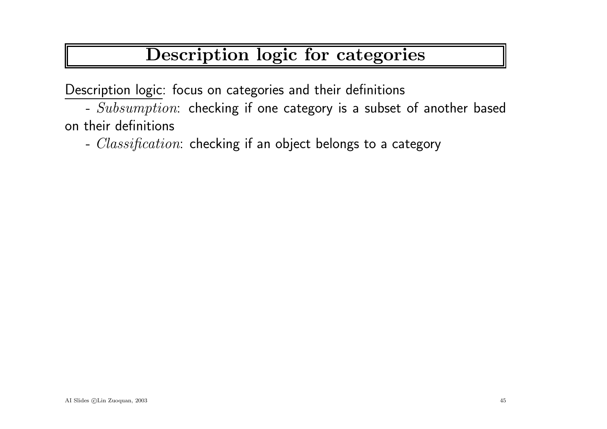# Description logic for categories

Description logic: focus on categories and their definitions

-  $Subsumption$ : checking if one category is a subset of another based on their definitions

-  $Classification:$  checking if an object belongs to a category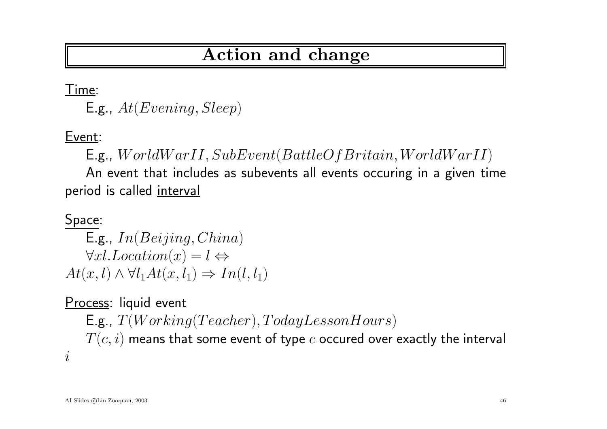### Action and change

Time:

E.g.,  $At(Evening, Sleep)$ 

Event:

E.g., WorldWarII,SubEvent(BattleOfBritain,WorldWarII)

An event that includes as subevents all events occuring in <sup>a</sup> given time period is called interval

#### Space:

 $E.g., In(Beijing, China)$  $\forall x l. Location(x) = l \Leftrightarrow$  $At(x, l) \wedge \forall l_1 At(x, l_1) \Rightarrow In(l, l_1)$ 

Process: liquid event  $\mathsf{E.g.},\ T(Working(Teacher),TodayLess on Hours)$  $T(\overline{c},i)$  means that some event of type  $\overline{c}$  occured over exactly the interval i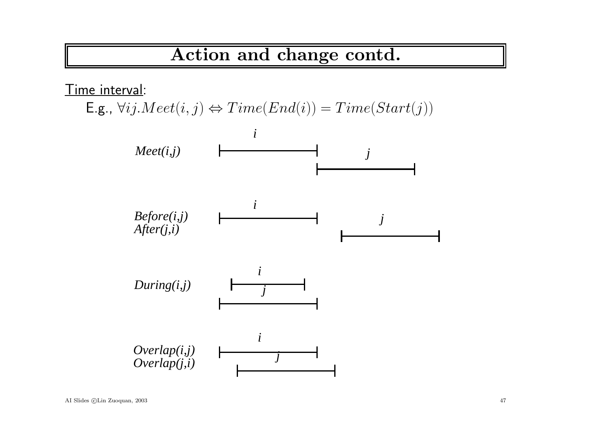# Action and change contd.

Time interval:

 $\mathsf{E.g.}, \forall ij.Mect(i,j) \Leftrightarrow Time(End(i)) = Time(Start(j))$ 

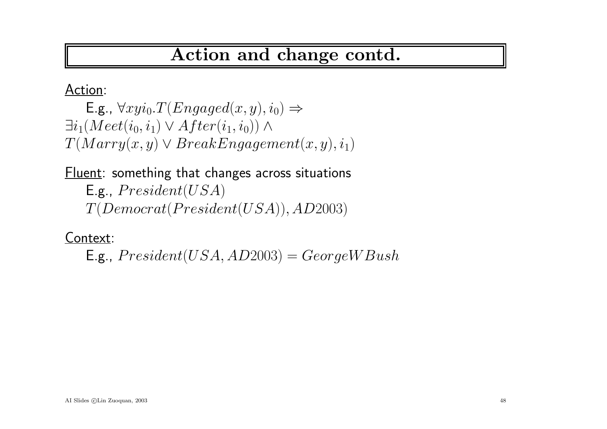# Action and change contd.

Action:

E.g.,  $\forall xyi_0. T(Engaged(x, y), i_0) \Rightarrow$  $\exists i_1 (Meet(i_0,i_1)\vee After(i_1,i_0))\wedge$  $T(Marry(x, y) \lor BreakEngagement(x, y), i_1)$ 

Fluent: something that changes across situations  $E.g., President(USA)$  $T(Democrat(President(USA)), AD2003)$ 

Context:

E.g.,  $President(USA, AD2003) = GeorgeWBush$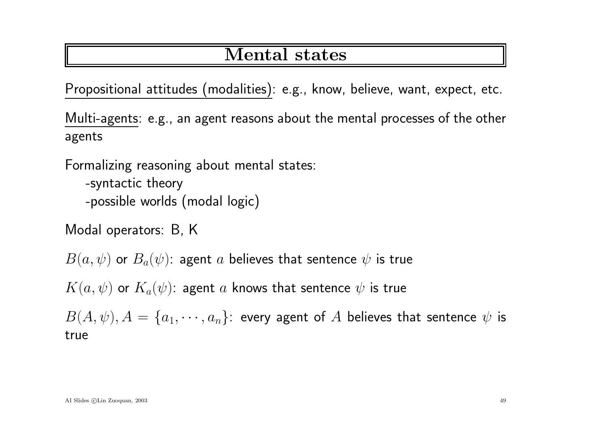### Mental states

Propositional attitudes (modalities): e.g., know, believe, want, expect, etc.

Multi-agents: e.g., an agen<sup>t</sup> reasons about the mental processes of the other agents

Formalizing reasoning about mental states:

- -syntactic theory -possible worlds (modal logic)
- Modal operators: B, K

 $B(a,\psi)$  or  $B_a(\psi)$ : agent a believes that sentence  $\psi$  is true

 $K(a, \psi)$  or  $K_a(\psi)$ : agent a knows that sentence  $\psi$  is true

 $B(A, \psi), A = \{a_1, \dots, a_n\}$ : every agent of A believes that sentence  $\psi$  is true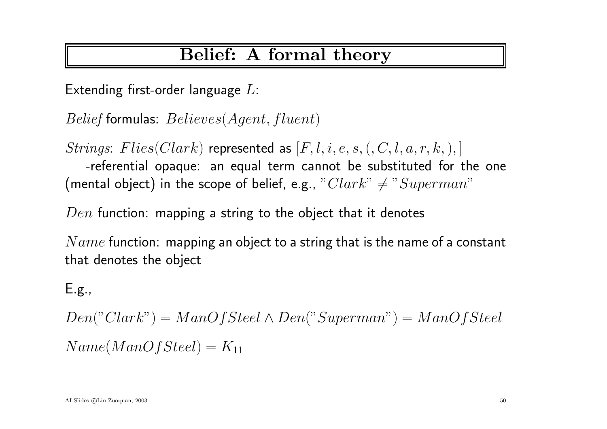### Belief: A formal theory

Extending first-order language  $L$ :

Belief formulas:  $Believes(Agent, fluent)$ 

Strings: Flies(Clark) represented as  $[F, l, i, e, s, (, C, l, a, r, k, ),]$ -referential opaque: an equal term cannot be substituted for the one (mental object) in the scope of belief, e.g.,  $"Clark" \neq "Superman"$ 

 $Den$  function: mapping a string to the object that it denotes

 $Name$  function: mapping an object to a string that is the name of a constant that denotes the object

### E.g.,

 $Den("Clark") = ManOfSteel \wedge Den("Superman") = ManOfSteel$  $Name(ManOfSteel) = K_{11}$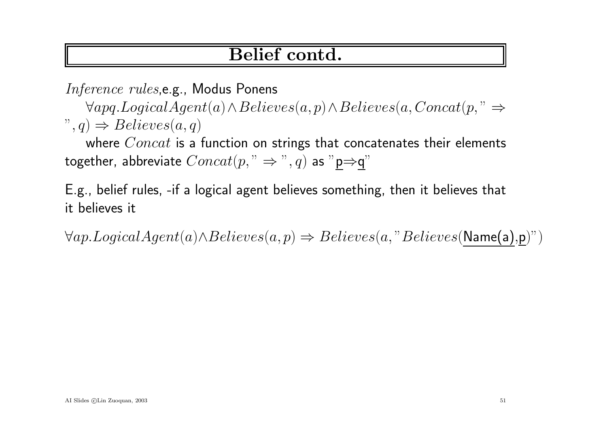### Belief contd.

Inference rules,e.g., Modus Ponens

<sup>∀</sup>apq.LogicalAgent(a)∧Believes(a,p)∧Believes(a,Concat(p, " <sup>⇒</sup>  $\Rightarrow$  Believes $(a,q)$ 

where  $Concat$  is a function on strings that concatenates their elements together, abbreviate  $Concat(p, " \Rightarrow", q)$  as "p $\Rightarrow$ q"

E.g., belief rules, -if <sup>a</sup> logical agen<sup>t</sup> believes something, then it believes that it believes it

 $\forall ap.LogicalAgent(a) \land Believes(a,p) \Rightarrow Believes(a,"Believes(Name(a),p)$ ")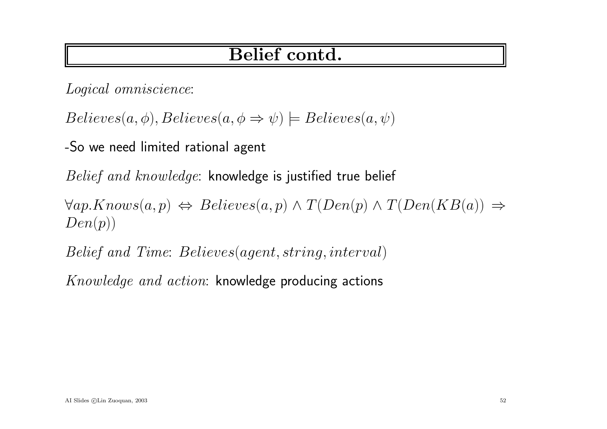### Belief contd.

Logical omniscience:

 $Believes(a, \phi), Believes(a, \phi \Rightarrow \psi) \models Believes(a, \psi)$ 

-So we need limited rational agen<sup>t</sup>

Belief and knowledge: knowledge is justified true belief

 $\forall ap.Knows(a,p) \Leftrightarrow Believes(a,p) \wedge T(Den(p) \wedge T(Den(KB(a))) \Rightarrow$  $Den(p)$ 

Belief and Time: Believes(agent, string, interval)

Knowledge and action: knowledge producing actions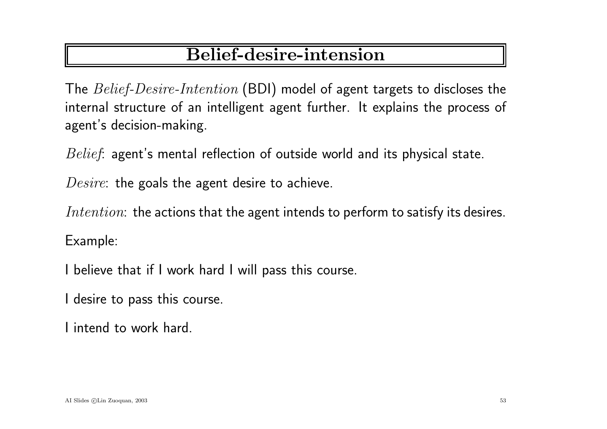# Belief-desire-intension

The Belief-Desire-Intention (BDI) model of agen<sup>t</sup> targets to discloses the internal structure of an intelligent agen<sup>t</sup> further. It explains the process of agent's decision-making.

Belief: agent's mental reflection of outside world and its physical state.

Desire: the goals the agent desire to achieve.

Intention: the actions that the agent intends to perform to satisfy its desires.

Example:

I believe that if I work hard I will pass this course.

I desire to pass this course.

I intend to work hard.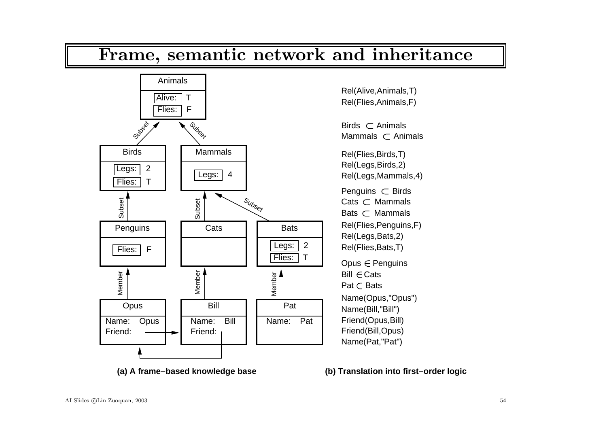

#### **(a) A frame−based knowledge base**

**(b) Translation into first−order logic**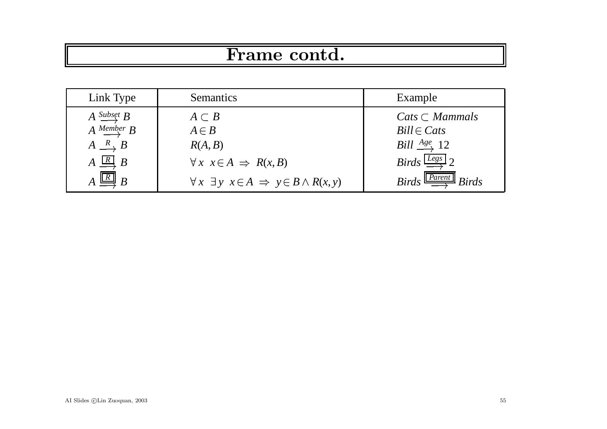# Frame contd.

| Link Type                           | <b>Semantics</b>                                                  | Example                                          |
|-------------------------------------|-------------------------------------------------------------------|--------------------------------------------------|
| $A \xrightarrow{Subset} B$          | $A \subset B$                                                     | $Cats \subset Mammals$                           |
| $A \xrightarrow{Member} B$          | $A \in B$                                                         | $Bill \in Cats$                                  |
| $A \stackrel{R}{\longrightarrow} B$ | R(A, B)                                                           | <i>Bill</i> $\frac{Age}{\sim} 12$                |
| $A \stackrel{R}{\longrightarrow} B$ | $\forall x \ x \in A \Rightarrow R(x, B)$                         | Birds $\frac{Legs}{\longrightarrow} 2$           |
| $A \stackrel{R}{\longrightarrow} B$ | $\forall x \exists y \ x \in A \Rightarrow y \in B \land R(x, y)$ | $Birds \stackrel{Parent}{\longrightarrow} Birds$ |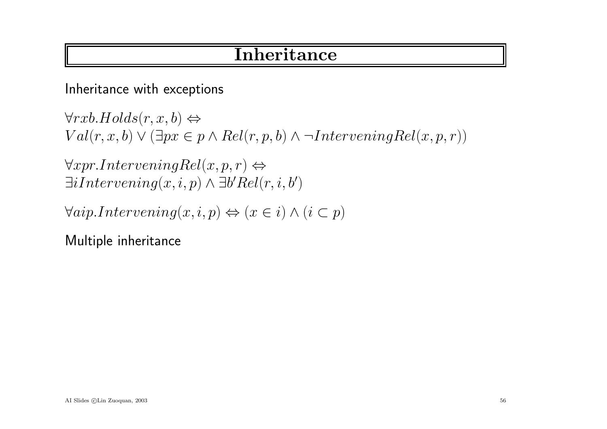### **Inheritance**

Inheritance with exceptions

 $\forall rxb.Holds(r, x, b) \Leftrightarrow$  $Val(r, x, b) \vee (\exists px \in p \land Rel(r, p, b) \land \neg InterveningRel(x, p, r))$ 

 $\forall xpr.InterveningRel(x,p,r) \Leftrightarrow$  $\exists$ iIntervening $(x,i,p) \wedge \exists b'Rel(r, i,b')$ 

 $\forall aip. Intervening(x,i,p) \Leftrightarrow (x \in i) \wedge (i \subset p)$ 

Multiple inheritance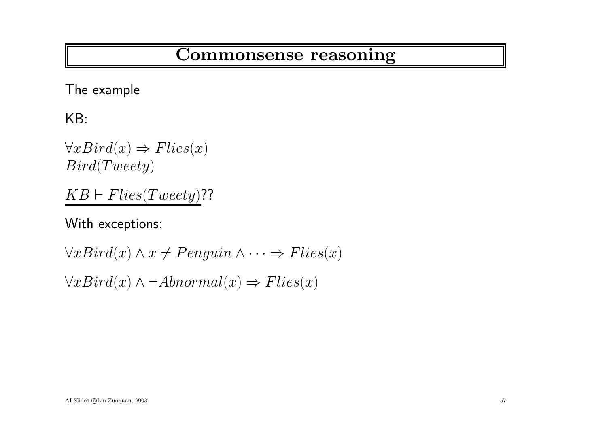# Commonsense reasoning

The example

KB:

 $\forall x Bird(x) \Rightarrow Flies(x)$ Bird(Tweety)

 $KB \vdash Flies(Tweety)$ ??

With exceptions:

 $\forall x Bird(x) \land x \neq Penguin \land \dots \Rightarrow Flies(x)$  $\forall x Bird(x) \land \neg Abnormal(x) \Rightarrow Flies(x)$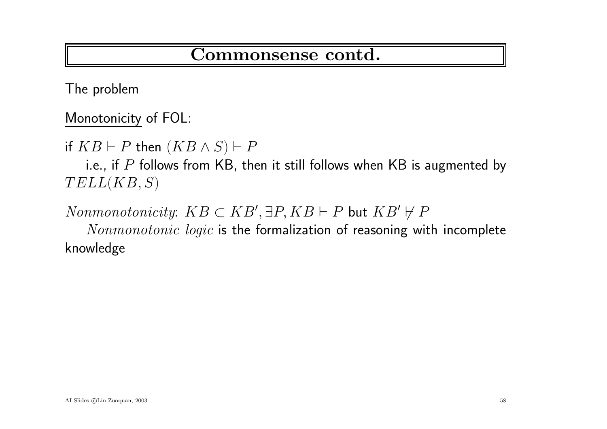### Commonsense contd.

The problem

Monotonicity of FOL:

if  $KB\vdash P$  then  $(KB\wedge S)\vdash P$ 

i.e., if  $P$  follows from KB, then it still follows when KB is augmented by  $TELL(KB, S)$ 

 $Nonmonotonicity\mathrm{:}\;\: KB \subset KB', \exists P, KB \vdash P\; \mathsf{but}\; KB' \not \vdash P$ 

Nonmonotonic logic is the formalization of reasoning with incomplete knowledge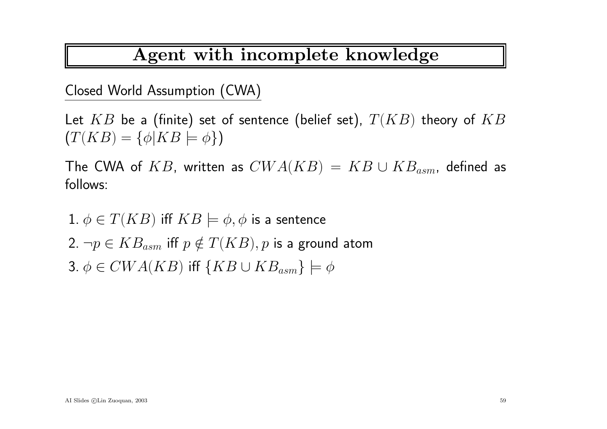### Agent with incomplete knowledge

Closed World Assumption (CWA)

Let  $KB$  be a (finite) set of sentence (belief set),  $\emph{T}(KB)$  theory of  $KB$  $(T(KB) = {\phi | KB \models \phi})$ 

The CWA of  $KB$ , written as  $CWA(KB)\,=\, KB \cup KB_{asm}{}$ , defined as follows:

 $1. \ \phi \in T(KB)$  iff  $KB \models \phi, \phi$  is a sentence

2.  $\neg p\in KB_{asm}$  iff  $p\notin T(KB), p$  is a ground atom 3.  $\phi \in CWA(KB)$  iff  $\{KB \cup KB_{asm}\} \models \phi$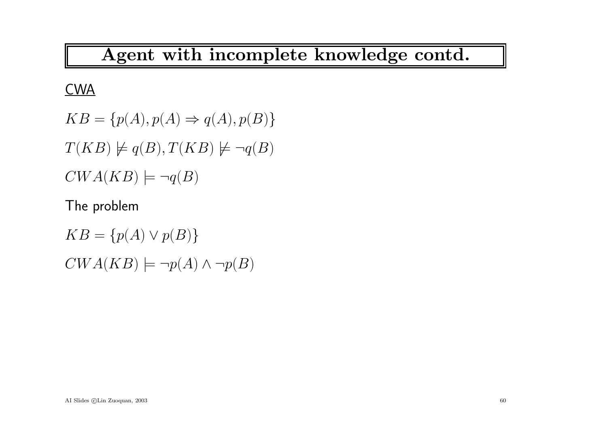# Agent with incomplete knowledge contd.

#### **CWA**

 $KB = \{p(A), p(A) \Rightarrow q(A), p(B)\}\$  $T(KB) \not\models q(B), T(KB) \not\models \neg q(B)$  $CWA(KB) \models \neg q(B)$ 

The problem

 $KB = \{p(A) \vee p(B)\}\$  $CWA(KB) \models \neg p(A) \land \neg p(B)$